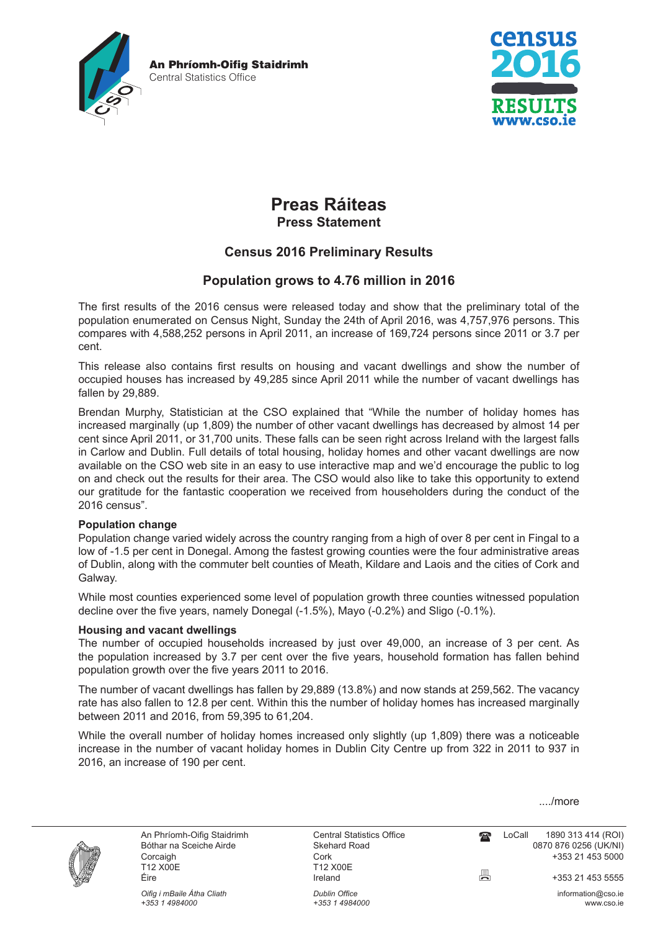

An Phríomh-Oifig Staidrimh

Central Statistics Office

# **Preas Ráiteas Press Statement**

## **Census 2016 Preliminary Results**

## **Population grows to 4.76 million in 2016**

The first results of the 2016 census were released today and show that the preliminary total of the population enumerated on Census Night, Sunday the 24th of April 2016, was 4,757,976 persons. This compares with 4,588,252 persons in April 2011, an increase of 169,724 persons since 2011 or 3.7 per cent.

This release also contains first results on housing and vacant dwellings and show the number of occupied houses has increased by 49,285 since April 2011 while the number of vacant dwellings has fallen by 29,889.

Brendan Murphy, Statistician at the CSO explained that "While the number of holiday homes has increased marginally (up 1,809) the number of other vacant dwellings has decreased by almost 14 per cent since April 2011, or 31,700 units. These falls can be seen right across Ireland with the largest falls in Carlow and Dublin. Full details of total housing, holiday homes and other vacant dwellings are now available on the CSO web site in an easy to use interactive map and we'd encourage the public to log on and check out the results for their area. The CSO would also like to take this opportunity to extend our gratitude for the fantastic cooperation we received from householders during the conduct of the 2016 census".

### **Population change**

Population change varied widely across the country ranging from a high of over 8 per cent in Fingal to a low of -1.5 per cent in Donegal. Among the fastest growing counties were the four administrative areas of Dublin, along with the commuter belt counties of Meath, Kildare and Laois and the cities of Cork and Galway.

While most counties experienced some level of population growth three counties witnessed population decline over the five years, namely Donegal (-1.5%), Mayo (-0.2%) and Sligo (-0.1%).

### **Housing and vacant dwellings**

The number of occupied households increased by just over 49,000, an increase of 3 per cent. As the population increased by 3.7 per cent over the five years, household formation has fallen behind population growth over the five years 2011 to 2016.

The number of vacant dwellings has fallen by 29,889 (13.8%) and now stands at 259,562. The vacancy rate has also fallen to 12.8 per cent. Within this the number of holiday homes has increased marginally between 2011 and 2016, from 59,395 to 61,204.

While the overall number of holiday homes increased only slightly (up 1,809) there was a noticeable increase in the number of vacant holiday homes in Dublin City Centre up from 322 in 2011 to 937 in 2016, an increase of 190 per cent.

..../more



Corcaigh Cork +353 21 453 5000 Éire Ireland +353 21 453 5555

*Oifig i mBaile Átha Cliath Dublin Office* information@cso.ie *+353 1 4984000 +353 1 4984000* www.cso.ie

T12 X00E<br>Ireland

An Phríomh-Oifig Staidrimh Central Statistics Office LoCall 1890 313 414 (ROI) Bóthar na Sceiche Airde **Skehard Road** Correspondent Correspondent Correspondent Correspondent Correspondent Correspondent Correspondent Correspondent Correspondent Correspondent Correspondent Correspondent Correspondent C  $\mathbf{P}$ 

틍